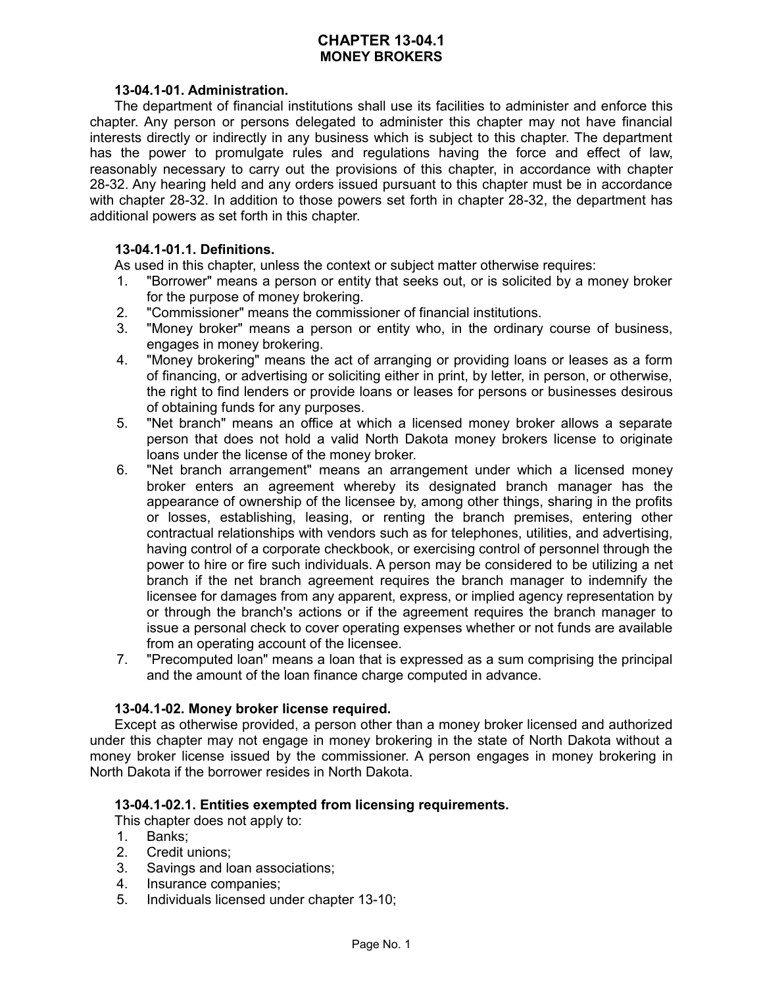# **CHAPTER 13-04.1 MONEY BROKERS**

#### **13-04.1-01. Administration.**

The department of financial institutions shall use its facilities to administer and enforce this chapter. Any person or persons delegated to administer this chapter may not have financial interests directly or indirectly in any business which is subject to this chapter. The department has the power to promulgate rules and regulations having the force and effect of law, reasonably necessary to carry out the provisions of this chapter, in accordance with chapter 28-32. Any hearing held and any orders issued pursuant to this chapter must be in accordance with chapter 28-32. In addition to those powers set forth in chapter 28-32, the department has additional powers as set forth in this chapter.

### **13-04.1-01.1. Definitions.**

As used in this chapter, unless the context or subject matter otherwise requires:

- 1. "Borrower" means a person or entity that seeks out, or is solicited by a money broker for the purpose of money brokering.
- 2. "Commissioner" means the commissioner of financial institutions.
- 3. "Money broker" means a person or entity who, in the ordinary course of business, engages in money brokering.
- 4. "Money brokering" means the act of arranging or providing loans or leases as a form of financing, or advertising or soliciting either in print, by letter, in person, or otherwise, the right to find lenders or provide loans or leases for persons or businesses desirous of obtaining funds for any purposes.
- 5. "Net branch" means an office at which a licensed money broker allows a separate person that does not hold a valid North Dakota money brokers license to originate loans under the license of the money broker.
- 6. "Net branch arrangement" means an arrangement under which a licensed money broker enters an agreement whereby its designated branch manager has the appearance of ownership of the licensee by, among other things, sharing in the profits or losses, establishing, leasing, or renting the branch premises, entering other contractual relationships with vendors such as for telephones, utilities, and advertising, having control of a corporate checkbook, or exercising control of personnel through the power to hire or fire such individuals. A person may be considered to be utilizing a net branch if the net branch agreement requires the branch manager to indemnify the licensee for damages from any apparent, express, or implied agency representation by or through the branch's actions or if the agreement requires the branch manager to issue a personal check to cover operating expenses whether or not funds are available from an operating account of the licensee.
- 7. "Precomputed loan" means a loan that is expressed as a sum comprising the principal and the amount of the loan finance charge computed in advance.

# **13-04.1-02. Money broker license required.**

Except as otherwise provided, a person other than a money broker licensed and authorized under this chapter may not engage in money brokering in the state of North Dakota without a money broker license issued by the commissioner. A person engages in money brokering in North Dakota if the borrower resides in North Dakota.

# **13-04.1-02.1. Entities exempted from licensing requirements.**

This chapter does not apply to:

- 1. Banks;
- 2. Credit unions;
- 3. Savings and loan associations;
- 4. Insurance companies;
- 5. Individuals licensed under chapter 13-10;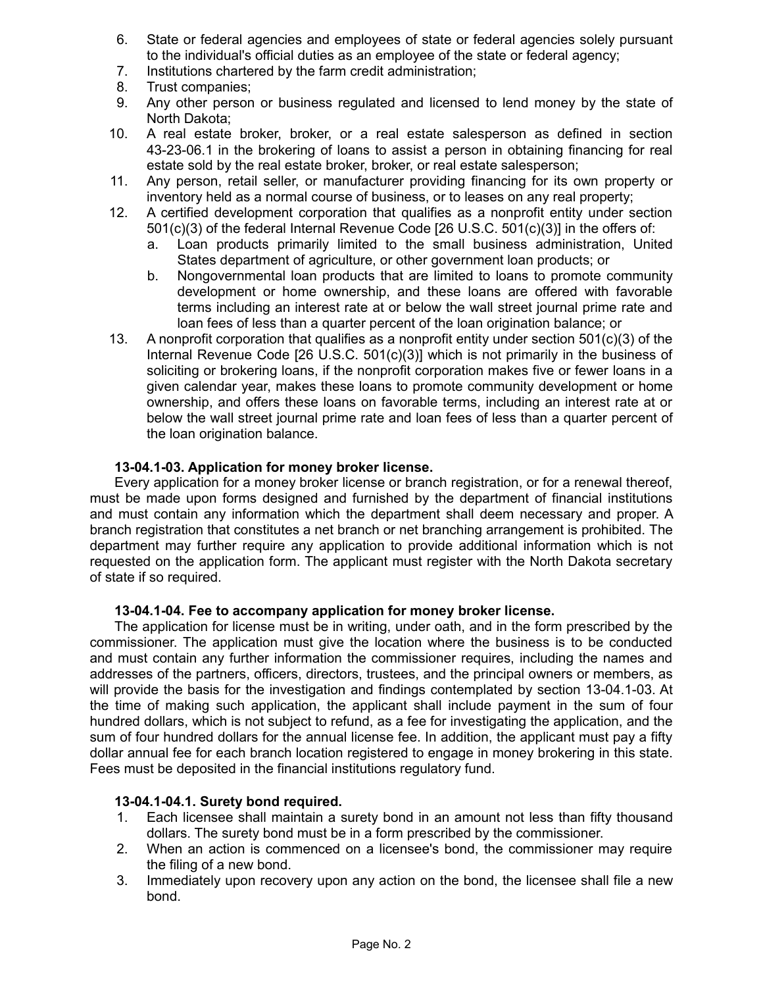- 6. State or federal agencies and employees of state or federal agencies solely pursuant to the individual's official duties as an employee of the state or federal agency;
- 7. Institutions chartered by the farm credit administration;
- 8. Trust companies;
- 9. Any other person or business regulated and licensed to lend money by the state of North Dakota;
- 10. A real estate broker, broker, or a real estate salesperson as defined in section 43-23-06.1 in the brokering of loans to assist a person in obtaining financing for real estate sold by the real estate broker, broker, or real estate salesperson;
- 11. Any person, retail seller, or manufacturer providing financing for its own property or inventory held as a normal course of business, or to leases on any real property;
- 12. A certified development corporation that qualifies as a nonprofit entity under section 501(c)(3) of the federal Internal Revenue Code [26 U.S.C. 501(c)(3)] in the offers of:
	- a. Loan products primarily limited to the small business administration, United States department of agriculture, or other government loan products; or
	- b. Nongovernmental loan products that are limited to loans to promote community development or home ownership, and these loans are offered with favorable terms including an interest rate at or below the wall street journal prime rate and loan fees of less than a quarter percent of the loan origination balance; or
- 13. A nonprofit corporation that qualifies as a nonprofit entity under section  $501(c)(3)$  of the Internal Revenue Code [26 U.S.C. 501(c)(3)] which is not primarily in the business of soliciting or brokering loans, if the nonprofit corporation makes five or fewer loans in a given calendar year, makes these loans to promote community development or home ownership, and offers these loans on favorable terms, including an interest rate at or below the wall street journal prime rate and loan fees of less than a quarter percent of the loan origination balance.

# **13-04.1-03. Application for money broker license.**

Every application for a money broker license or branch registration, or for a renewal thereof, must be made upon forms designed and furnished by the department of financial institutions and must contain any information which the department shall deem necessary and proper. A branch registration that constitutes a net branch or net branching arrangement is prohibited. The department may further require any application to provide additional information which is not requested on the application form. The applicant must register with the North Dakota secretary of state if so required.

# **13-04.1-04. Fee to accompany application for money broker license.**

The application for license must be in writing, under oath, and in the form prescribed by the commissioner. The application must give the location where the business is to be conducted and must contain any further information the commissioner requires, including the names and addresses of the partners, officers, directors, trustees, and the principal owners or members, as will provide the basis for the investigation and findings contemplated by section 13-04.1-03. At the time of making such application, the applicant shall include payment in the sum of four hundred dollars, which is not subject to refund, as a fee for investigating the application, and the sum of four hundred dollars for the annual license fee. In addition, the applicant must pay a fifty dollar annual fee for each branch location registered to engage in money brokering in this state. Fees must be deposited in the financial institutions regulatory fund.

# **13-04.1-04.1. Surety bond required.**

- 1. Each licensee shall maintain a surety bond in an amount not less than fifty thousand dollars. The surety bond must be in a form prescribed by the commissioner.
- 2. When an action is commenced on a licensee's bond, the commissioner may require the filing of a new bond.
- 3. Immediately upon recovery upon any action on the bond, the licensee shall file a new bond.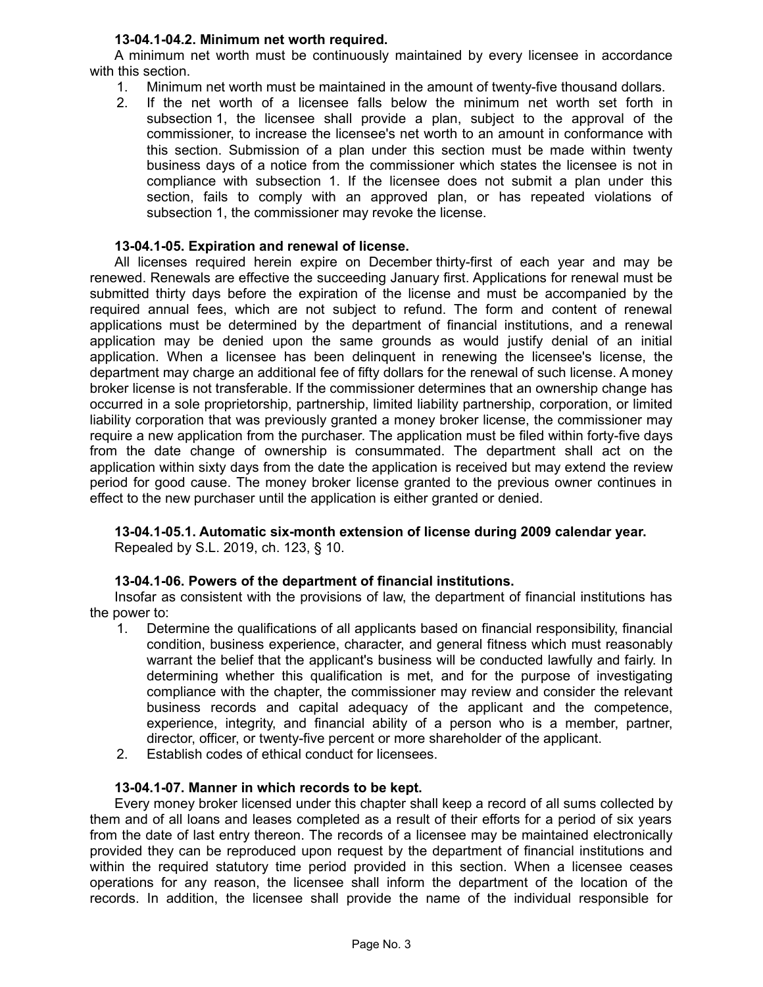# **13-04.1-04.2. Minimum net worth required.**

A minimum net worth must be continuously maintained by every licensee in accordance with this section.

- 1. Minimum net worth must be maintained in the amount of twenty-five thousand dollars.
- 2. If the net worth of a licensee falls below the minimum net worth set forth in subsection 1, the licensee shall provide a plan, subject to the approval of the commissioner, to increase the licensee's net worth to an amount in conformance with this section. Submission of a plan under this section must be made within twenty business days of a notice from the commissioner which states the licensee is not in compliance with subsection 1. If the licensee does not submit a plan under this section, fails to comply with an approved plan, or has repeated violations of subsection 1, the commissioner may revoke the license.

# **13-04.1-05. Expiration and renewal of license.**

All licenses required herein expire on December thirty-first of each year and may be renewed. Renewals are effective the succeeding January first. Applications for renewal must be submitted thirty days before the expiration of the license and must be accompanied by the required annual fees, which are not subject to refund. The form and content of renewal applications must be determined by the department of financial institutions, and a renewal application may be denied upon the same grounds as would justify denial of an initial application. When a licensee has been delinquent in renewing the licensee's license, the department may charge an additional fee of fifty dollars for the renewal of such license. A money broker license is not transferable. If the commissioner determines that an ownership change has occurred in a sole proprietorship, partnership, limited liability partnership, corporation, or limited liability corporation that was previously granted a money broker license, the commissioner may require a new application from the purchaser. The application must be filed within forty-five days from the date change of ownership is consummated. The department shall act on the application within sixty days from the date the application is received but may extend the review period for good cause. The money broker license granted to the previous owner continues in effect to the new purchaser until the application is either granted or denied.

# **13-04.1-05.1. Automatic six-month extension of license during 2009 calendar year.**

# Repealed by S.L. 2019, ch. 123, § 10.

# **13-04.1-06. Powers of the department of financial institutions.**

Insofar as consistent with the provisions of law, the department of financial institutions has the power to:

- 1. Determine the qualifications of all applicants based on financial responsibility, financial condition, business experience, character, and general fitness which must reasonably warrant the belief that the applicant's business will be conducted lawfully and fairly. In determining whether this qualification is met, and for the purpose of investigating compliance with the chapter, the commissioner may review and consider the relevant business records and capital adequacy of the applicant and the competence, experience, integrity, and financial ability of a person who is a member, partner, director, officer, or twenty-five percent or more shareholder of the applicant.
- 2. Establish codes of ethical conduct for licensees.

# **13-04.1-07. Manner in which records to be kept.**

Every money broker licensed under this chapter shall keep a record of all sums collected by them and of all loans and leases completed as a result of their efforts for a period of six years from the date of last entry thereon. The records of a licensee may be maintained electronically provided they can be reproduced upon request by the department of financial institutions and within the required statutory time period provided in this section. When a licensee ceases operations for any reason, the licensee shall inform the department of the location of the records. In addition, the licensee shall provide the name of the individual responsible for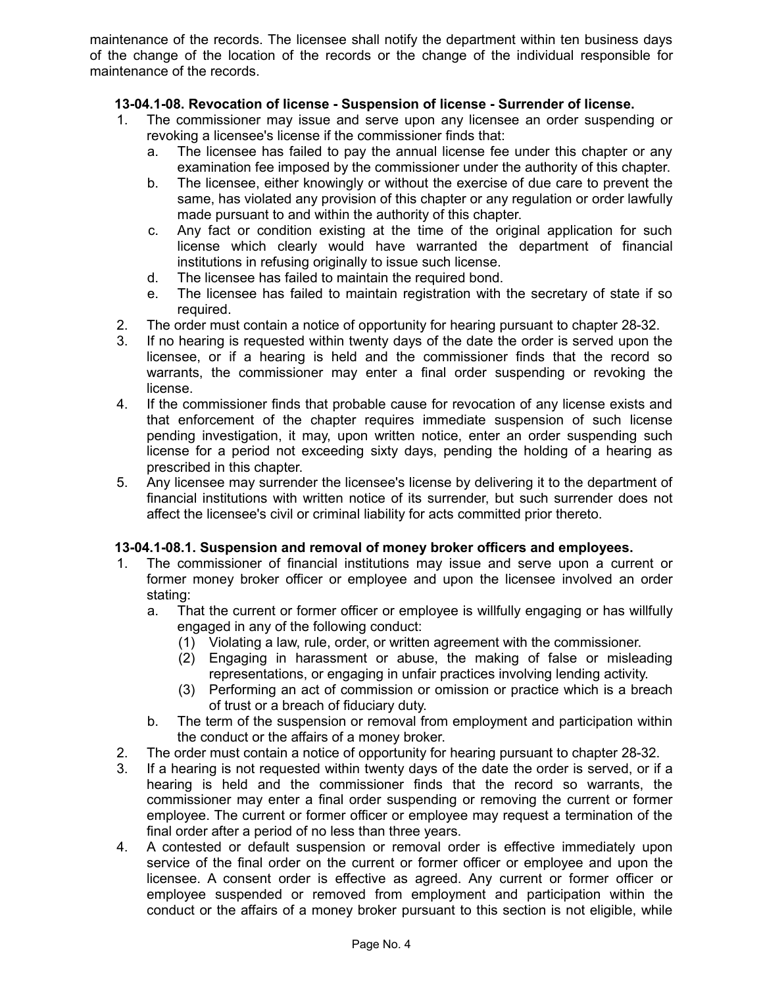maintenance of the records. The licensee shall notify the department within ten business days of the change of the location of the records or the change of the individual responsible for maintenance of the records.

# **13-04.1-08. Revocation of license - Suspension of license - Surrender of license.**

- 1. The commissioner may issue and serve upon any licensee an order suspending or revoking a licensee's license if the commissioner finds that:
	- a. The licensee has failed to pay the annual license fee under this chapter or any examination fee imposed by the commissioner under the authority of this chapter.
	- b. The licensee, either knowingly or without the exercise of due care to prevent the same, has violated any provision of this chapter or any regulation or order lawfully made pursuant to and within the authority of this chapter.
	- c. Any fact or condition existing at the time of the original application for such license which clearly would have warranted the department of financial institutions in refusing originally to issue such license.
	- d. The licensee has failed to maintain the required bond.
	- e. The licensee has failed to maintain registration with the secretary of state if so required.
- 2. The order must contain a notice of opportunity for hearing pursuant to chapter 28-32.
- 3. If no hearing is requested within twenty days of the date the order is served upon the licensee, or if a hearing is held and the commissioner finds that the record so warrants, the commissioner may enter a final order suspending or revoking the license.
- 4. If the commissioner finds that probable cause for revocation of any license exists and that enforcement of the chapter requires immediate suspension of such license pending investigation, it may, upon written notice, enter an order suspending such license for a period not exceeding sixty days, pending the holding of a hearing as prescribed in this chapter.
- 5. Any licensee may surrender the licensee's license by delivering it to the department of financial institutions with written notice of its surrender, but such surrender does not affect the licensee's civil or criminal liability for acts committed prior thereto.

# **13-04.1-08.1. Suspension and removal of money broker officers and employees.**

- 1. The commissioner of financial institutions may issue and serve upon a current or former money broker officer or employee and upon the licensee involved an order stating:
	- a. That the current or former officer or employee is willfully engaging or has willfully engaged in any of the following conduct:
		- (1) Violating a law, rule, order, or written agreement with the commissioner.
		- (2) Engaging in harassment or abuse, the making of false or misleading representations, or engaging in unfair practices involving lending activity.
		- (3) Performing an act of commission or omission or practice which is a breach of trust or a breach of fiduciary duty.
	- b. The term of the suspension or removal from employment and participation within the conduct or the affairs of a money broker.
- 2. The order must contain a notice of opportunity for hearing pursuant to chapter 28-32.
- 3. If a hearing is not requested within twenty days of the date the order is served, or if a hearing is held and the commissioner finds that the record so warrants, the commissioner may enter a final order suspending or removing the current or former employee. The current or former officer or employee may request a termination of the final order after a period of no less than three years.
- 4. A contested or default suspension or removal order is effective immediately upon service of the final order on the current or former officer or employee and upon the licensee. A consent order is effective as agreed. Any current or former officer or employee suspended or removed from employment and participation within the conduct or the affairs of a money broker pursuant to this section is not eligible, while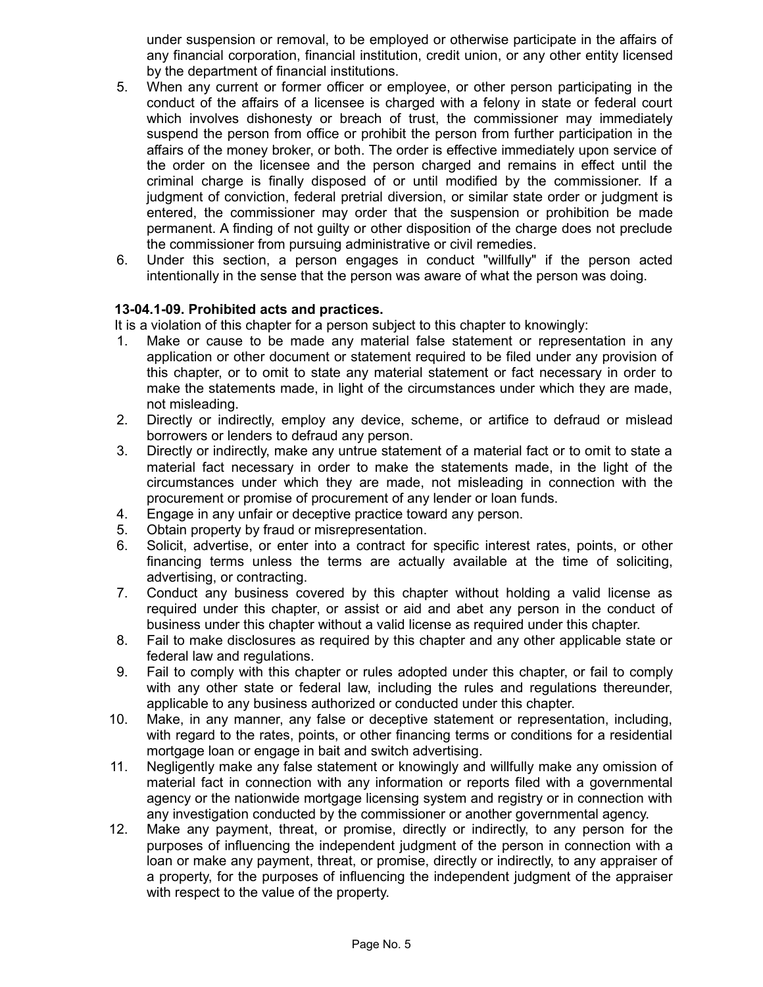under suspension or removal, to be employed or otherwise participate in the affairs of any financial corporation, financial institution, credit union, or any other entity licensed by the department of financial institutions.

- 5. When any current or former officer or employee, or other person participating in the conduct of the affairs of a licensee is charged with a felony in state or federal court which involves dishonesty or breach of trust, the commissioner may immediately suspend the person from office or prohibit the person from further participation in the affairs of the money broker, or both. The order is effective immediately upon service of the order on the licensee and the person charged and remains in effect until the criminal charge is finally disposed of or until modified by the commissioner. If a judgment of conviction, federal pretrial diversion, or similar state order or judgment is entered, the commissioner may order that the suspension or prohibition be made permanent. A finding of not guilty or other disposition of the charge does not preclude the commissioner from pursuing administrative or civil remedies.
- 6. Under this section, a person engages in conduct "willfully" if the person acted intentionally in the sense that the person was aware of what the person was doing.

### **13-04.1-09. Prohibited acts and practices.**

It is a violation of this chapter for a person subject to this chapter to knowingly:

- 1. Make or cause to be made any material false statement or representation in any application or other document or statement required to be filed under any provision of this chapter, or to omit to state any material statement or fact necessary in order to make the statements made, in light of the circumstances under which they are made, not misleading.
- 2. Directly or indirectly, employ any device, scheme, or artifice to defraud or mislead borrowers or lenders to defraud any person.
- 3. Directly or indirectly, make any untrue statement of a material fact or to omit to state a material fact necessary in order to make the statements made, in the light of the circumstances under which they are made, not misleading in connection with the procurement or promise of procurement of any lender or loan funds.
- 4. Engage in any unfair or deceptive practice toward any person.
- 5. Obtain property by fraud or misrepresentation.
- 6. Solicit, advertise, or enter into a contract for specific interest rates, points, or other financing terms unless the terms are actually available at the time of soliciting, advertising, or contracting.
- 7. Conduct any business covered by this chapter without holding a valid license as required under this chapter, or assist or aid and abet any person in the conduct of business under this chapter without a valid license as required under this chapter.
- 8. Fail to make disclosures as required by this chapter and any other applicable state or federal law and regulations.
- 9. Fail to comply with this chapter or rules adopted under this chapter, or fail to comply with any other state or federal law, including the rules and regulations thereunder, applicable to any business authorized or conducted under this chapter.
- 10. Make, in any manner, any false or deceptive statement or representation, including, with regard to the rates, points, or other financing terms or conditions for a residential mortgage loan or engage in bait and switch advertising.
- 11. Negligently make any false statement or knowingly and willfully make any omission of material fact in connection with any information or reports filed with a governmental agency or the nationwide mortgage licensing system and registry or in connection with any investigation conducted by the commissioner or another governmental agency.
- 12. Make any payment, threat, or promise, directly or indirectly, to any person for the purposes of influencing the independent judgment of the person in connection with a loan or make any payment, threat, or promise, directly or indirectly, to any appraiser of a property, for the purposes of influencing the independent judgment of the appraiser with respect to the value of the property.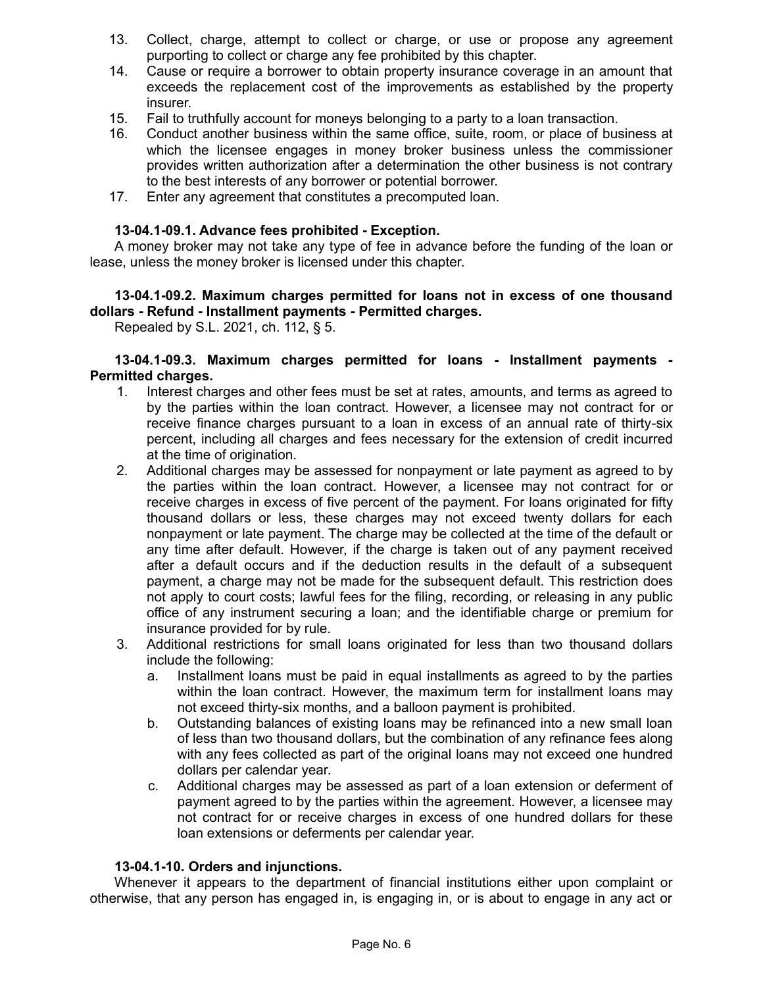- 13. Collect, charge, attempt to collect or charge, or use or propose any agreement purporting to collect or charge any fee prohibited by this chapter.
- 14. Cause or require a borrower to obtain property insurance coverage in an amount that exceeds the replacement cost of the improvements as established by the property insurer.
- 15. Fail to truthfully account for moneys belonging to a party to a loan transaction.
- 16. Conduct another business within the same office, suite, room, or place of business at which the licensee engages in money broker business unless the commissioner provides written authorization after a determination the other business is not contrary to the best interests of any borrower or potential borrower.
- 17. Enter any agreement that constitutes a precomputed loan.

#### **13-04.1-09.1. Advance fees prohibited - Exception.**

A money broker may not take any type of fee in advance before the funding of the loan or lease, unless the money broker is licensed under this chapter.

# **13-04.1-09.2. Maximum charges permitted for loans not in excess of one thousand dollars - Refund - Installment payments - Permitted charges.**

Repealed by S.L. 2021, ch. 112, § 5.

#### **13-04.1-09.3. Maximum charges permitted for loans - Installment payments - Permitted charges.**

- 1. Interest charges and other fees must be set at rates, amounts, and terms as agreed to by the parties within the loan contract. However, a licensee may not contract for or receive finance charges pursuant to a loan in excess of an annual rate of thirty-six percent, including all charges and fees necessary for the extension of credit incurred at the time of origination.
- 2. Additional charges may be assessed for nonpayment or late payment as agreed to by the parties within the loan contract. However, a licensee may not contract for or receive charges in excess of five percent of the payment. For loans originated for fifty thousand dollars or less, these charges may not exceed twenty dollars for each nonpayment or late payment. The charge may be collected at the time of the default or any time after default. However, if the charge is taken out of any payment received after a default occurs and if the deduction results in the default of a subsequent payment, a charge may not be made for the subsequent default. This restriction does not apply to court costs; lawful fees for the filing, recording, or releasing in any public office of any instrument securing a loan; and the identifiable charge or premium for insurance provided for by rule.
- 3. Additional restrictions for small loans originated for less than two thousand dollars include the following:
	- a. Installment loans must be paid in equal installments as agreed to by the parties within the loan contract. However, the maximum term for installment loans may not exceed thirty-six months, and a balloon payment is prohibited.
	- b. Outstanding balances of existing loans may be refinanced into a new small loan of less than two thousand dollars, but the combination of any refinance fees along with any fees collected as part of the original loans may not exceed one hundred dollars per calendar year.
	- c. Additional charges may be assessed as part of a loan extension or deferment of payment agreed to by the parties within the agreement. However, a licensee may not contract for or receive charges in excess of one hundred dollars for these loan extensions or deferments per calendar year.

#### **13-04.1-10. Orders and injunctions.**

Whenever it appears to the department of financial institutions either upon complaint or otherwise, that any person has engaged in, is engaging in, or is about to engage in any act or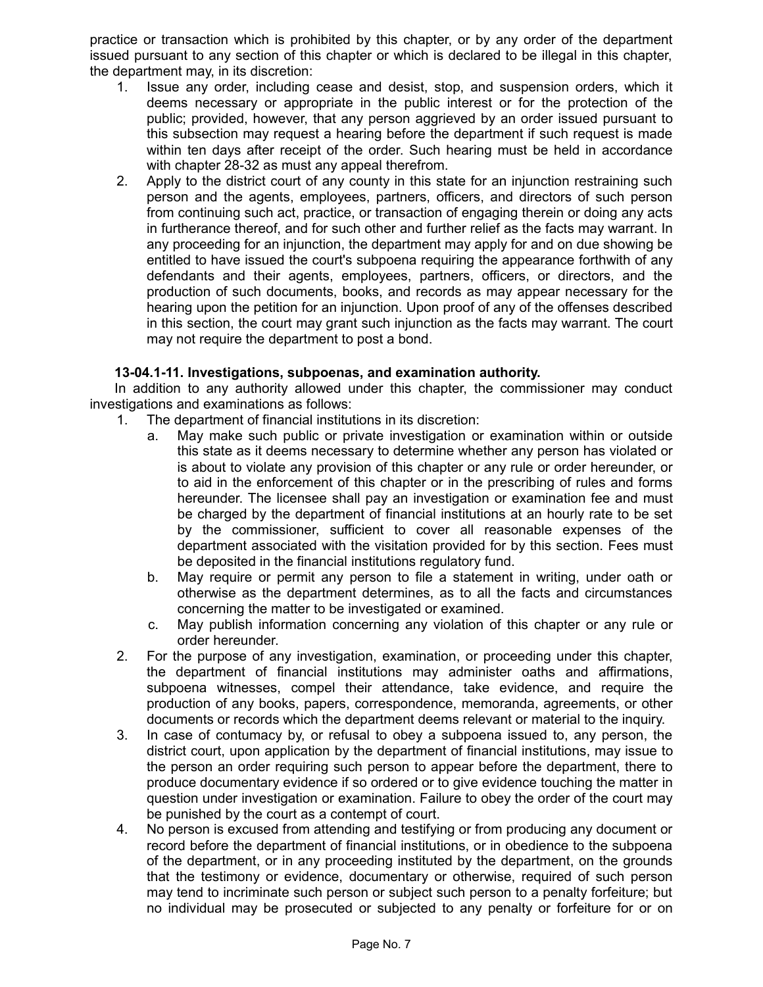practice or transaction which is prohibited by this chapter, or by any order of the department issued pursuant to any section of this chapter or which is declared to be illegal in this chapter, the department may, in its discretion:

- 1. Issue any order, including cease and desist, stop, and suspension orders, which it deems necessary or appropriate in the public interest or for the protection of the public; provided, however, that any person aggrieved by an order issued pursuant to this subsection may request a hearing before the department if such request is made within ten days after receipt of the order. Such hearing must be held in accordance with chapter 28-32 as must any appeal therefrom.
- 2. Apply to the district court of any county in this state for an injunction restraining such person and the agents, employees, partners, officers, and directors of such person from continuing such act, practice, or transaction of engaging therein or doing any acts in furtherance thereof, and for such other and further relief as the facts may warrant. In any proceeding for an injunction, the department may apply for and on due showing be entitled to have issued the court's subpoena requiring the appearance forthwith of any defendants and their agents, employees, partners, officers, or directors, and the production of such documents, books, and records as may appear necessary for the hearing upon the petition for an injunction. Upon proof of any of the offenses described in this section, the court may grant such injunction as the facts may warrant. The court may not require the department to post a bond.

# **13-04.1-11. Investigations, subpoenas, and examination authority.**

In addition to any authority allowed under this chapter, the commissioner may conduct investigations and examinations as follows:

- 1. The department of financial institutions in its discretion:
	- a. May make such public or private investigation or examination within or outside this state as it deems necessary to determine whether any person has violated or is about to violate any provision of this chapter or any rule or order hereunder, or to aid in the enforcement of this chapter or in the prescribing of rules and forms hereunder. The licensee shall pay an investigation or examination fee and must be charged by the department of financial institutions at an hourly rate to be set by the commissioner, sufficient to cover all reasonable expenses of the department associated with the visitation provided for by this section. Fees must be deposited in the financial institutions regulatory fund.
	- b. May require or permit any person to file a statement in writing, under oath or otherwise as the department determines, as to all the facts and circumstances concerning the matter to be investigated or examined.
	- c. May publish information concerning any violation of this chapter or any rule or order hereunder.
- 2. For the purpose of any investigation, examination, or proceeding under this chapter, the department of financial institutions may administer oaths and affirmations, subpoena witnesses, compel their attendance, take evidence, and require the production of any books, papers, correspondence, memoranda, agreements, or other documents or records which the department deems relevant or material to the inquiry.
- 3. In case of contumacy by, or refusal to obey a subpoena issued to, any person, the district court, upon application by the department of financial institutions, may issue to the person an order requiring such person to appear before the department, there to produce documentary evidence if so ordered or to give evidence touching the matter in question under investigation or examination. Failure to obey the order of the court may be punished by the court as a contempt of court.
- 4. No person is excused from attending and testifying or from producing any document or record before the department of financial institutions, or in obedience to the subpoena of the department, or in any proceeding instituted by the department, on the grounds that the testimony or evidence, documentary or otherwise, required of such person may tend to incriminate such person or subject such person to a penalty forfeiture; but no individual may be prosecuted or subjected to any penalty or forfeiture for or on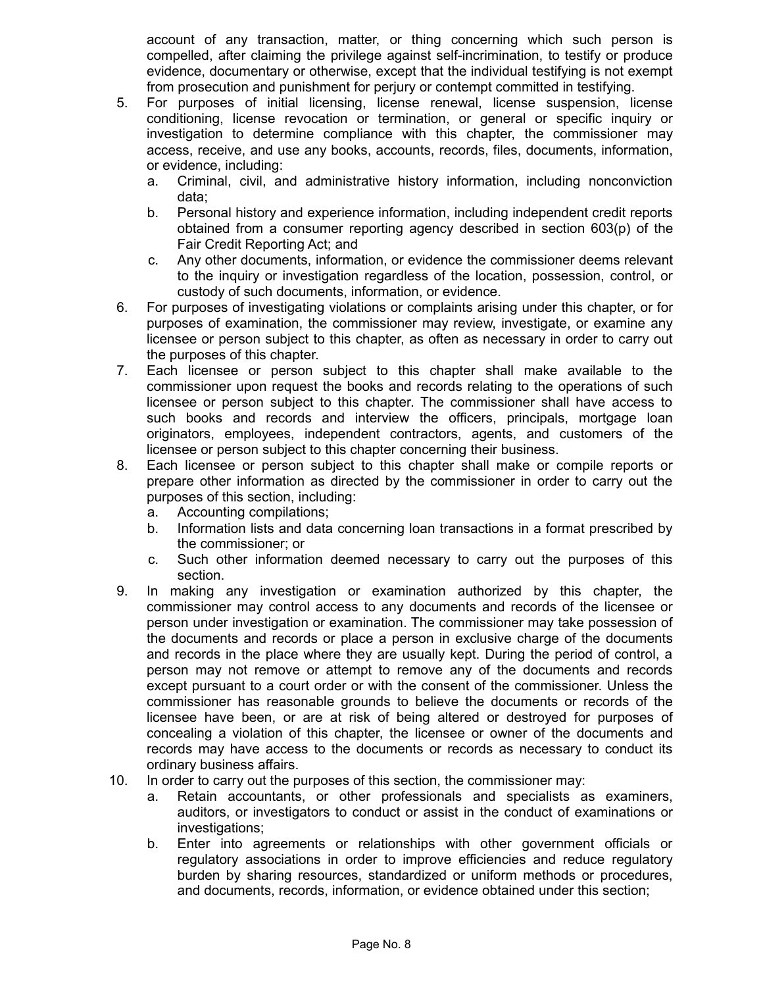account of any transaction, matter, or thing concerning which such person is compelled, after claiming the privilege against self-incrimination, to testify or produce evidence, documentary or otherwise, except that the individual testifying is not exempt from prosecution and punishment for perjury or contempt committed in testifying.

- 5. For purposes of initial licensing, license renewal, license suspension, license conditioning, license revocation or termination, or general or specific inquiry or investigation to determine compliance with this chapter, the commissioner may access, receive, and use any books, accounts, records, files, documents, information, or evidence, including:
	- a. Criminal, civil, and administrative history information, including nonconviction data;
	- b. Personal history and experience information, including independent credit reports obtained from a consumer reporting agency described in section 603(p) of the Fair Credit Reporting Act; and
	- c. Any other documents, information, or evidence the commissioner deems relevant to the inquiry or investigation regardless of the location, possession, control, or custody of such documents, information, or evidence.
- 6. For purposes of investigating violations or complaints arising under this chapter, or for purposes of examination, the commissioner may review, investigate, or examine any licensee or person subject to this chapter, as often as necessary in order to carry out the purposes of this chapter.
- 7. Each licensee or person subject to this chapter shall make available to the commissioner upon request the books and records relating to the operations of such licensee or person subject to this chapter. The commissioner shall have access to such books and records and interview the officers, principals, mortgage loan originators, employees, independent contractors, agents, and customers of the licensee or person subject to this chapter concerning their business.
- 8. Each licensee or person subject to this chapter shall make or compile reports or prepare other information as directed by the commissioner in order to carry out the purposes of this section, including:
	- a. Accounting compilations;
	- b. Information lists and data concerning loan transactions in a format prescribed by the commissioner; or
	- c. Such other information deemed necessary to carry out the purposes of this section.
- 9. In making any investigation or examination authorized by this chapter, the commissioner may control access to any documents and records of the licensee or person under investigation or examination. The commissioner may take possession of the documents and records or place a person in exclusive charge of the documents and records in the place where they are usually kept. During the period of control, a person may not remove or attempt to remove any of the documents and records except pursuant to a court order or with the consent of the commissioner. Unless the commissioner has reasonable grounds to believe the documents or records of the licensee have been, or are at risk of being altered or destroyed for purposes of concealing a violation of this chapter, the licensee or owner of the documents and records may have access to the documents or records as necessary to conduct its ordinary business affairs.
- 10. In order to carry out the purposes of this section, the commissioner may:
	- a. Retain accountants, or other professionals and specialists as examiners, auditors, or investigators to conduct or assist in the conduct of examinations or investigations;
	- b. Enter into agreements or relationships with other government officials or regulatory associations in order to improve efficiencies and reduce regulatory burden by sharing resources, standardized or uniform methods or procedures, and documents, records, information, or evidence obtained under this section;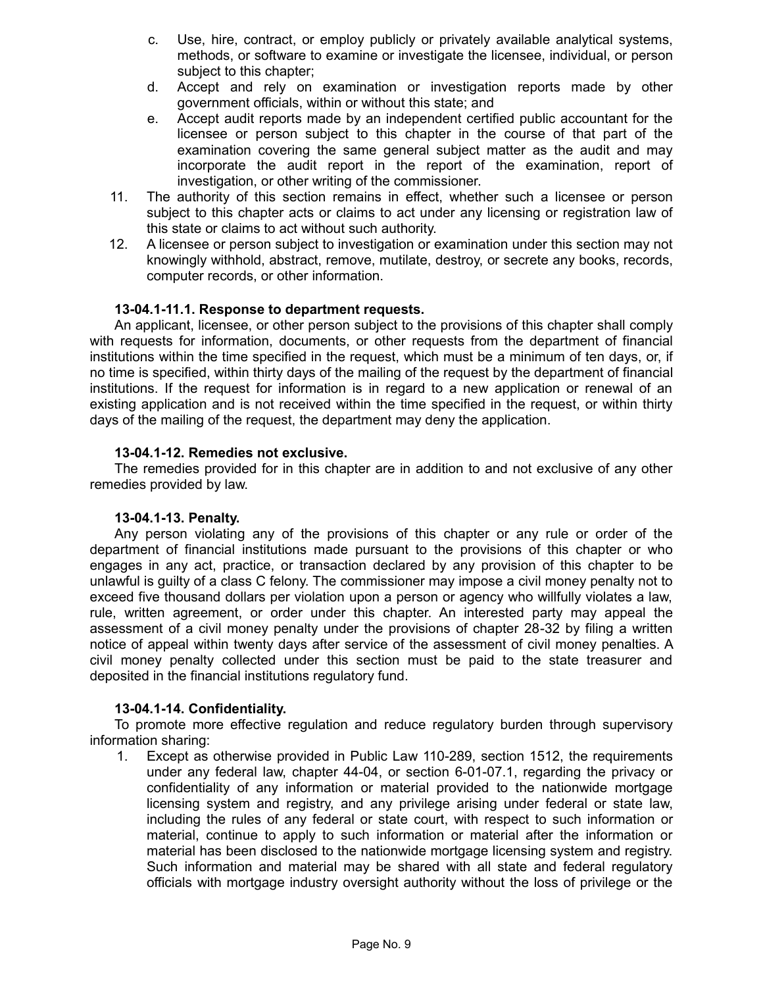- c. Use, hire, contract, or employ publicly or privately available analytical systems, methods, or software to examine or investigate the licensee, individual, or person subject to this chapter;
- d. Accept and rely on examination or investigation reports made by other government officials, within or without this state; and
- e. Accept audit reports made by an independent certified public accountant for the licensee or person subject to this chapter in the course of that part of the examination covering the same general subject matter as the audit and may incorporate the audit report in the report of the examination, report of investigation, or other writing of the commissioner.
- 11. The authority of this section remains in effect, whether such a licensee or person subject to this chapter acts or claims to act under any licensing or registration law of this state or claims to act without such authority.
- 12. A licensee or person subject to investigation or examination under this section may not knowingly withhold, abstract, remove, mutilate, destroy, or secrete any books, records, computer records, or other information.

### **13-04.1-11.1. Response to department requests.**

An applicant, licensee, or other person subject to the provisions of this chapter shall comply with requests for information, documents, or other requests from the department of financial institutions within the time specified in the request, which must be a minimum of ten days, or, if no time is specified, within thirty days of the mailing of the request by the department of financial institutions. If the request for information is in regard to a new application or renewal of an existing application and is not received within the time specified in the request, or within thirty days of the mailing of the request, the department may deny the application.

### **13-04.1-12. Remedies not exclusive.**

The remedies provided for in this chapter are in addition to and not exclusive of any other remedies provided by law.

#### **13-04.1-13. Penalty.**

Any person violating any of the provisions of this chapter or any rule or order of the department of financial institutions made pursuant to the provisions of this chapter or who engages in any act, practice, or transaction declared by any provision of this chapter to be unlawful is guilty of a class C felony. The commissioner may impose a civil money penalty not to exceed five thousand dollars per violation upon a person or agency who willfully violates a law, rule, written agreement, or order under this chapter. An interested party may appeal the assessment of a civil money penalty under the provisions of chapter 28-32 by filing a written notice of appeal within twenty days after service of the assessment of civil money penalties. A civil money penalty collected under this section must be paid to the state treasurer and deposited in the financial institutions regulatory fund.

# **13-04.1-14. Confidentiality.**

To promote more effective regulation and reduce regulatory burden through supervisory information sharing:

1. Except as otherwise provided in Public Law 110-289, section 1512, the requirements under any federal law, chapter 44-04, or section 6-01-07.1, regarding the privacy or confidentiality of any information or material provided to the nationwide mortgage licensing system and registry, and any privilege arising under federal or state law, including the rules of any federal or state court, with respect to such information or material, continue to apply to such information or material after the information or material has been disclosed to the nationwide mortgage licensing system and registry. Such information and material may be shared with all state and federal regulatory officials with mortgage industry oversight authority without the loss of privilege or the